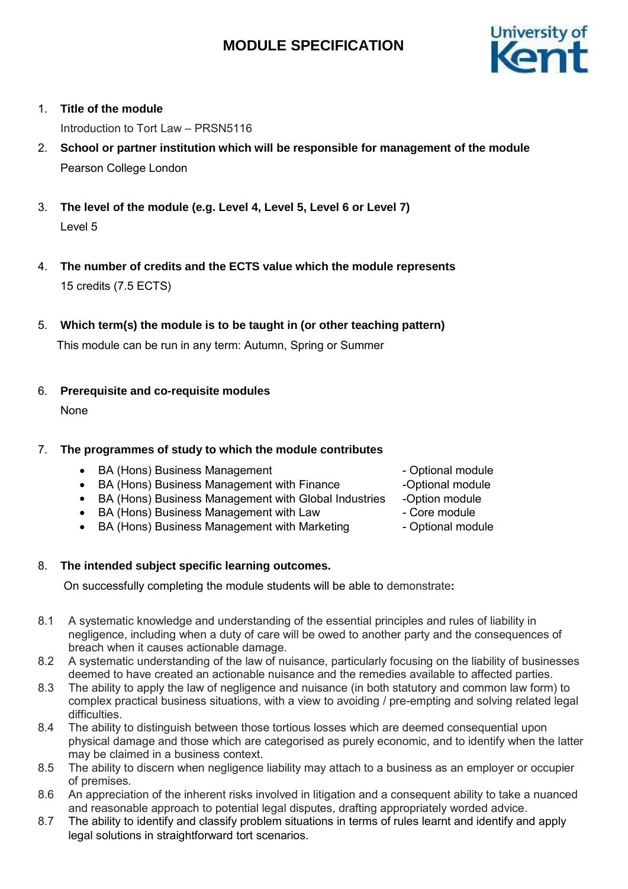

## 1. **Title of the module**

Introduction to Tort Law – PRSN5116

- 2. **School or partner institution which will be responsible for management of the module** Pearson College London
- 3. **The level of the module (e.g. Level 4, Level 5, Level 6 or Level 7)** Level 5
- 4. **The number of credits and the ECTS value which the module represents** 15 credits (7.5 ECTS)
- 5. **Which term(s) the module is to be taught in (or other teaching pattern)**

This module can be run in any term: Autumn, Spring or Summer

6. **Prerequisite and co-requisite modules**

None

## 7. **The programmes of study to which the module contributes**

- BA (Hons) Business Management The Controller Optional module
- BA (Hons) Business Management with Finance
- BA (Hons) Business Management with Global Industries
- BA (Hons) Business Management with Law
- $\bullet$ BA (Hons) Business Management with Marketing

## 8. **The intended subject specific learning outcomes.**

On successfully completing the module students will be able to demonstrate**:**

- 8.1 A systematic knowledge and understanding of the essential principles and rules of liability in negligence, including when a duty of care will be owed to another party and the consequences of breach when it causes actionable damage.
- 8.2 A systematic understanding of the law of nuisance, particularly focusing on the liability of businesses deemed to have created an actionable nuisance and the remedies available to affected parties.
- 8.3 The ability to apply the law of negligence and nuisance (in both statutory and common law form) to complex practical business situations, with a view to avoiding / pre-empting and solving related legal difficulties.
- 8.4 The ability to distinguish between those tortious losses which are deemed consequential upon physical damage and those which are categorised as purely economic, and to identify when the latter may be claimed in a business context.
- 8.5 The ability to discern when negligence liability may attach to a business as an employer or occupier of premises.
- 8.6 An appreciation of the inherent risks involved in litigation and a consequent ability to take a nuanced and reasonable approach to potential legal disputes, drafting appropriately worded advice.
- 8.7 The ability to identify and classify problem situations in terms of rules learnt and identify and apply legal solutions in straightforward tort scenarios.
- 
- -Optional module
- -Option module
- Core module
- Optional module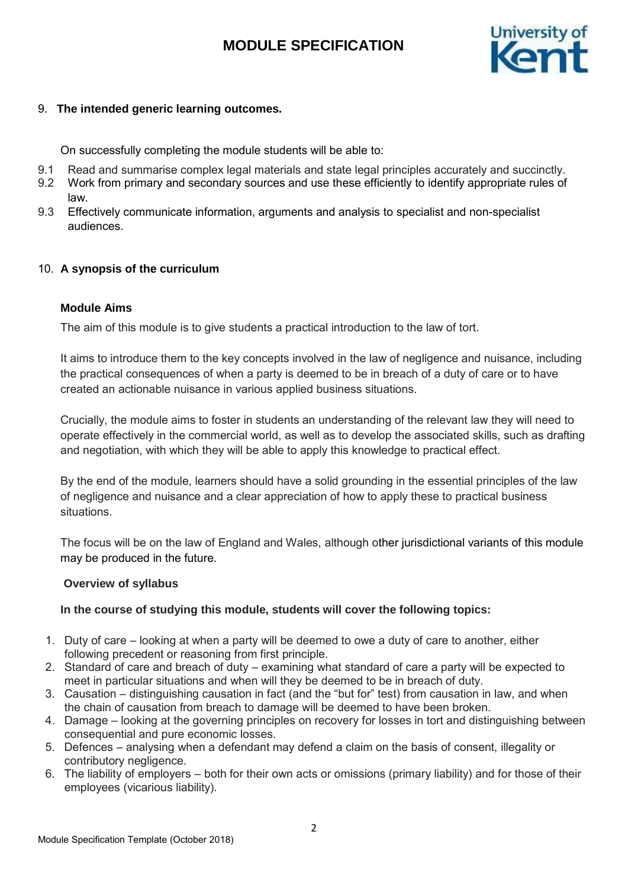

## 9. **The intended generic learning outcomes.**

On successfully completing the module students will be able to:

- 9.1 Read and summarise complex legal materials and state legal principles accurately and succinctly.
- 9.2 Work from primary and secondary sources and use these efficiently to identify appropriate rules of law.
- 9.3 Effectively communicate information, arguments and analysis to specialist and non-specialist audiences.

## 10. **A synopsis of the curriculum**

#### **Module Aims**

The aim of this module is to give students a practical introduction to the law of tort.

It aims to introduce them to the key concepts involved in the law of negligence and nuisance, including the practical consequences of when a party is deemed to be in breach of a duty of care or to have created an actionable nuisance in various applied business situations.

Crucially, the module aims to foster in students an understanding of the relevant law they will need to operate effectively in the commercial world, as well as to develop the associated skills, such as drafting and negotiation, with which they will be able to apply this knowledge to practical effect.

By the end of the module, learners should have a solid grounding in the essential principles of the law of negligence and nuisance and a clear appreciation of how to apply these to practical business situations.

The focus will be on the law of England and Wales, although other jurisdictional variants of this module may be produced in the future.

#### **Overview of syllabus**

#### **In the course of studying this module, students will cover the following topics:**

- 1. Duty of care looking at when a party will be deemed to owe a duty of care to another, either following precedent or reasoning from first principle.
- 2. Standard of care and breach of duty examining what standard of care a party will be expected to meet in particular situations and when will they be deemed to be in breach of duty.
- 3. Causation distinguishing causation in fact (and the "but for" test) from causation in law, and when the chain of causation from breach to damage will be deemed to have been broken.
- 4. Damage looking at the governing principles on recovery for losses in tort and distinguishing between consequential and pure economic losses.
- 5. Defences analysing when a defendant may defend a claim on the basis of consent, illegality or contributory negligence.
- 6. The liability of employers both for their own acts or omissions (primary liability) and for those of their employees (vicarious liability).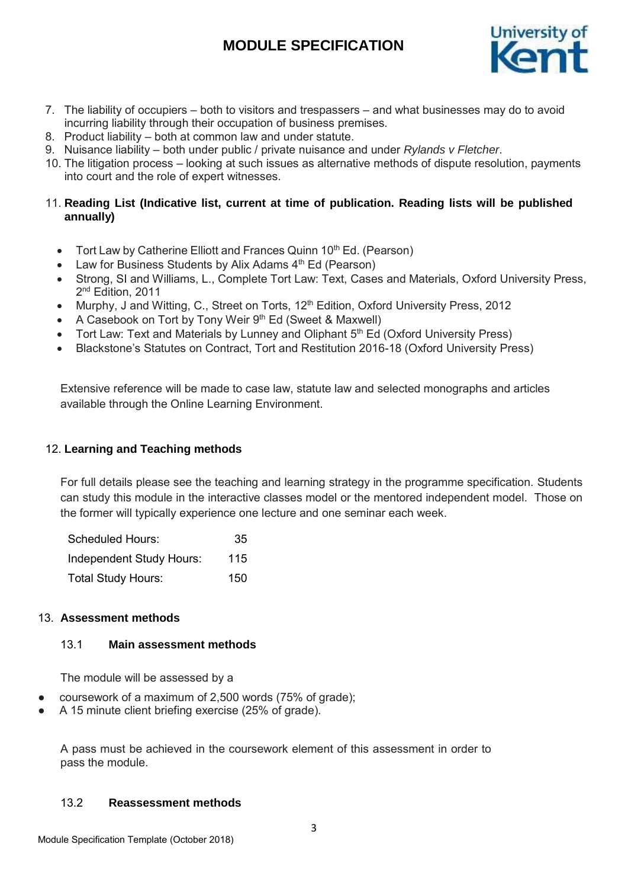

- 7. The liability of occupiers both to visitors and trespassers and what businesses may do to avoid incurring liability through their occupation of business premises.
- 8. Product liability both at common law and under statute.
- 9. Nuisance liability both under public / private nuisance and under *Rylands v Fletcher*.
- 10. The litigation process looking at such issues as alternative methods of dispute resolution, payments into court and the role of expert witnesses.

## 11. **Reading List (Indicative list, current at time of publication. Reading lists will be published annually)**

- Tort Law by Catherine Elliott and Frances Quinn 10<sup>th</sup> Ed. (Pearson)
- Law for Business Students by Alix Adams 4<sup>th</sup> Ed (Pearson)
- Strong, SI and Williams, L., Complete Tort Law: Text, Cases and Materials, Oxford University Press, 2<sup>nd</sup> Edition, 2011
- Murphy, J and Witting, C., Street on Torts, 12<sup>th</sup> Edition. Oxford University Press. 2012
- A Casebook on Tort by Tony Weir 9th Ed (Sweet & Maxwell)
- Tort Law: Text and Materials by Lunney and Oliphant 5<sup>th</sup> Ed (Oxford University Press)
- Blackstone's Statutes on Contract, Tort and Restitution 2016-18 (Oxford University Press)

Extensive reference will be made to case law, statute law and selected monographs and articles available through the Online Learning Environment.

## 12. **Learning and Teaching methods**

For full details please see the teaching and learning strategy in the programme specification. Students can study this module in the interactive classes model or the mentored independent model. Those on the former will typically experience one lecture and one seminar each week.

| <b>Scheduled Hours:</b>   | 35  |
|---------------------------|-----|
| Independent Study Hours:  | 115 |
| <b>Total Study Hours:</b> | 150 |

## 13. **Assessment methods**

## 13.1 **Main assessment methods**

The module will be assessed by a

- coursework of a maximum of 2,500 words (75% of grade);
- A 15 minute client briefing exercise (25% of grade).

A pass must be achieved in the coursework element of this assessment in order to pass the module.

## 13.2 **Reassessment methods**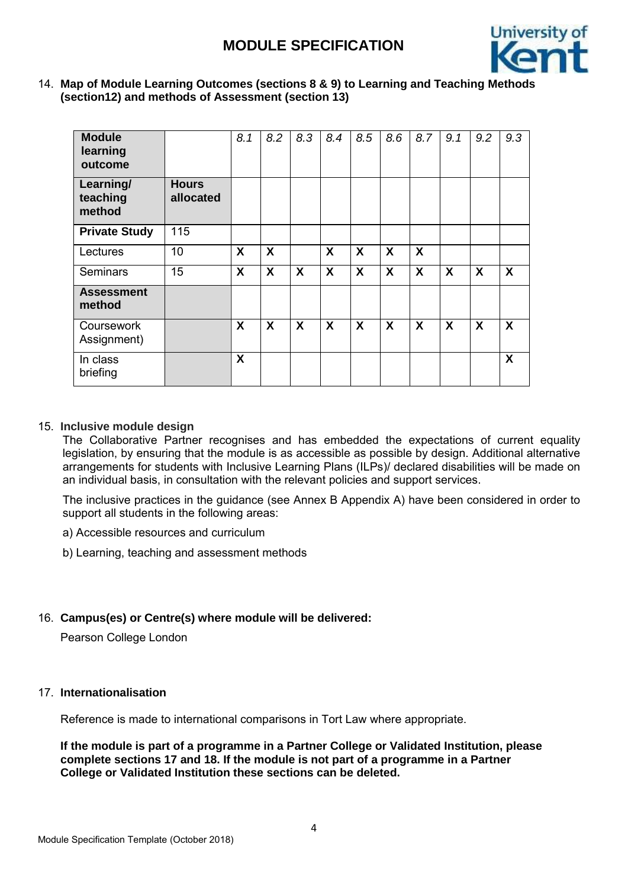

14. **Map of Module Learning Outcomes (sections 8 & 9) to Learning and Teaching Methods (section12) and methods of Assessment (section 13)**

| <b>Module</b><br>learning<br>outcome |                           | 8.1 | 8.2 | 8.3              | 8.4              | 8.5 | 8.6 | 8.7 | 9.1              | 9.2                       | 9.3                       |
|--------------------------------------|---------------------------|-----|-----|------------------|------------------|-----|-----|-----|------------------|---------------------------|---------------------------|
| Learning/<br>teaching<br>method      | <b>Hours</b><br>allocated |     |     |                  |                  |     |     |     |                  |                           |                           |
| <b>Private Study</b>                 | 115                       |     |     |                  |                  |     |     |     |                  |                           |                           |
| Lectures                             | 10                        | X   | X   |                  | X                | X   | X   | X   |                  |                           |                           |
| <b>Seminars</b>                      | 15                        | X   | X   | $\boldsymbol{X}$ | X                | X   | X   | X   | $\boldsymbol{X}$ | $\boldsymbol{\mathsf{X}}$ | $\boldsymbol{\mathsf{X}}$ |
| <b>Assessment</b><br>method          |                           |     |     |                  |                  |     |     |     |                  |                           |                           |
| Coursework<br>Assignment)            |                           | X   | X   | $\boldsymbol{X}$ | $\boldsymbol{X}$ | X   | X   | X   | $\boldsymbol{X}$ | $\boldsymbol{\mathsf{X}}$ | $\boldsymbol{\mathsf{X}}$ |
| In class<br>briefing                 |                           | X   |     |                  |                  |     |     |     |                  |                           | X                         |

## 15. **Inclusive module design**

The Collaborative Partner recognises and has embedded the expectations of current equality legislation, by ensuring that the module is as accessible as possible by design. Additional alternative arrangements for students with Inclusive Learning Plans (ILPs)/ declared disabilities will be made on an individual basis, in consultation with the relevant policies and support services.

The inclusive practices in the guidance (see Annex B Appendix A) have been considered in order to support all students in the following areas:

a) Accessible resources and curriculum

b) Learning, teaching and assessment methods

## 16. **Campus(es) or Centre(s) where module will be delivered:**

Pearson College London

## 17. **Internationalisation**

Reference is made to international comparisons in Tort Law where appropriate.

**If the module is part of a programme in a Partner College or Validated Institution, please complete sections 17 and 18. If the module is not part of a programme in a Partner College or Validated Institution these sections can be deleted.**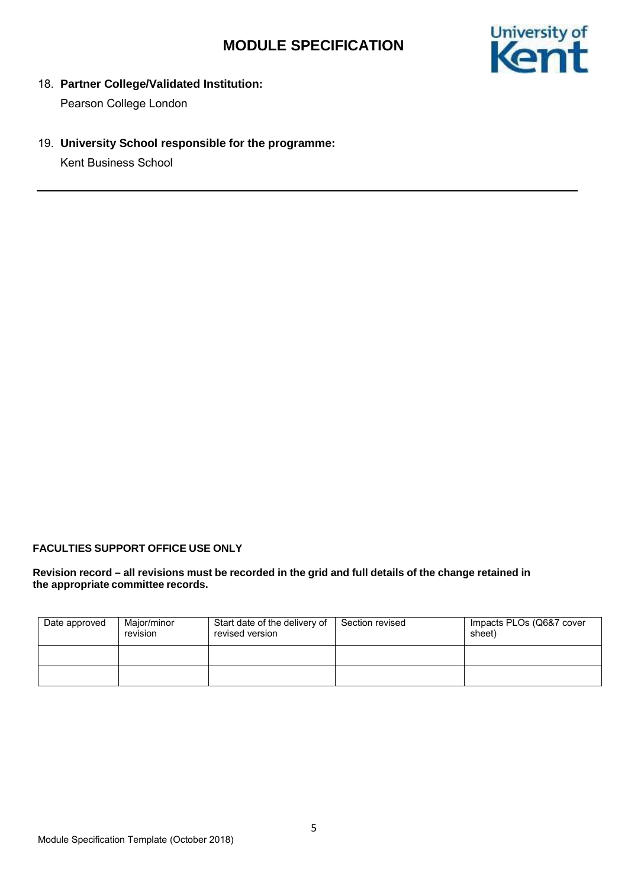

18. **Partner College/Validated Institution:**

Pearson College London

19. **University School responsible for the programme:**

Kent Business School

## **FACULTIES SUPPORT OFFICE USE ONLY**

#### **Revision record – all revisions must be recorded in the grid and full details of the change retained in the appropriate committee records.**

| Date approved | Maior/minor<br>revision | Start date of the delivery of<br>revised version | Section revised | Impacts PLOs (Q6&7 cover<br>sheet) |
|---------------|-------------------------|--------------------------------------------------|-----------------|------------------------------------|
|               |                         |                                                  |                 |                                    |
|               |                         |                                                  |                 |                                    |